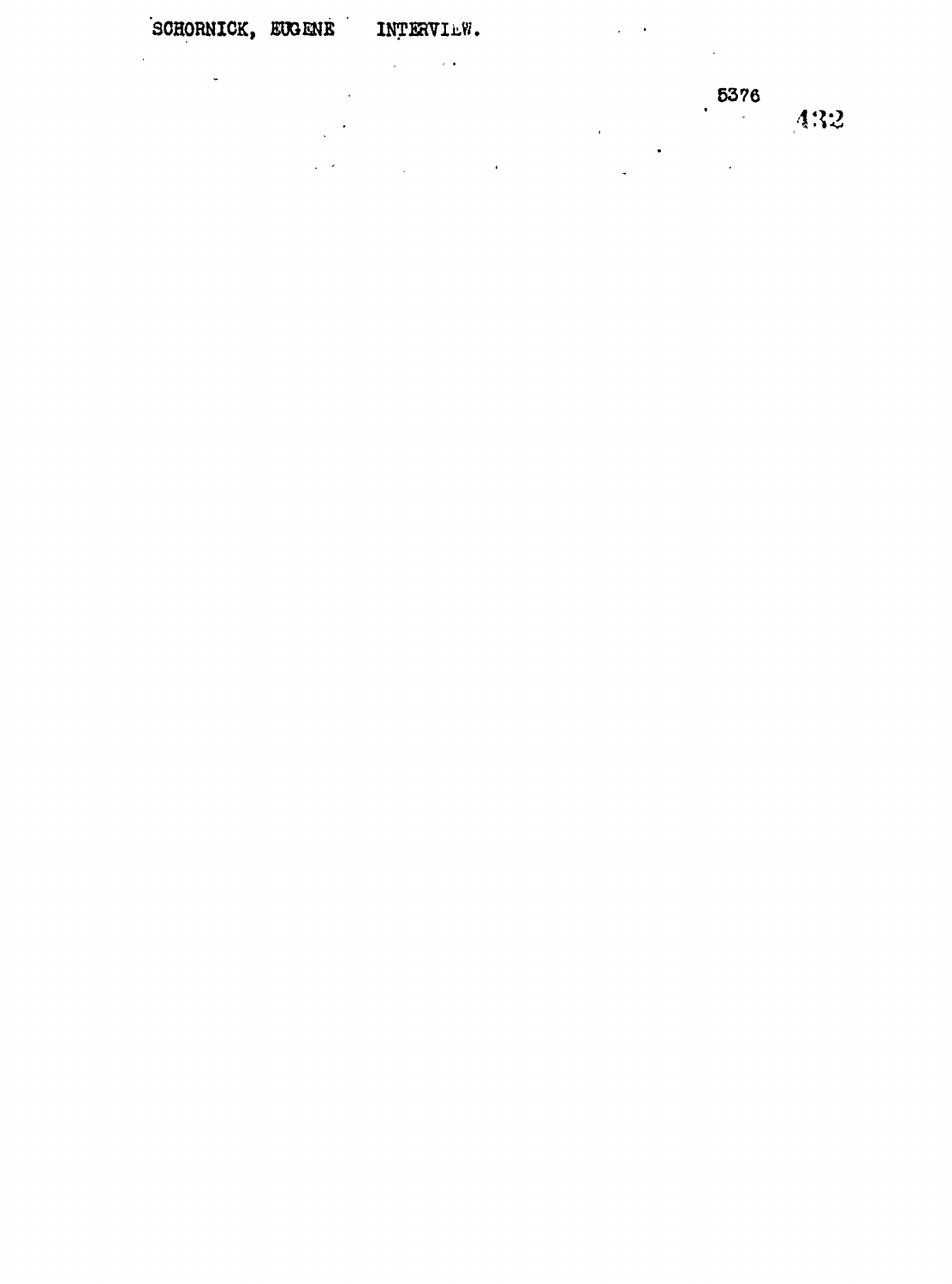$\frac{1}{2}$ 

 $\cdot$  $\frac{1}{2}$ 

 $\frac{1}{2}$  ,  $\frac{1}{2}$ 

 $\mathcal{L}_{\text{max}}$  and  $\mathcal{L}_{\text{max}}$ 

 $\ddot{\phantom{a}}$ 

 $\ddot{\phantom{0}}$ 

 $5376$ 

 $\hat{\mathbf{z}}$  $\sim$ 

 $\overline{1}$  $\ddot{\phantom{0}}$  $\sim 10^{-11}$  $\mathcal{L}^{\mathcal{L}}$  and  $\mathcal{L}^{\mathcal{L}}$  and  $\mathcal{L}^{\mathcal{L}}$  and  $\mathcal{L}^{\mathcal{L}}$ 

 $432$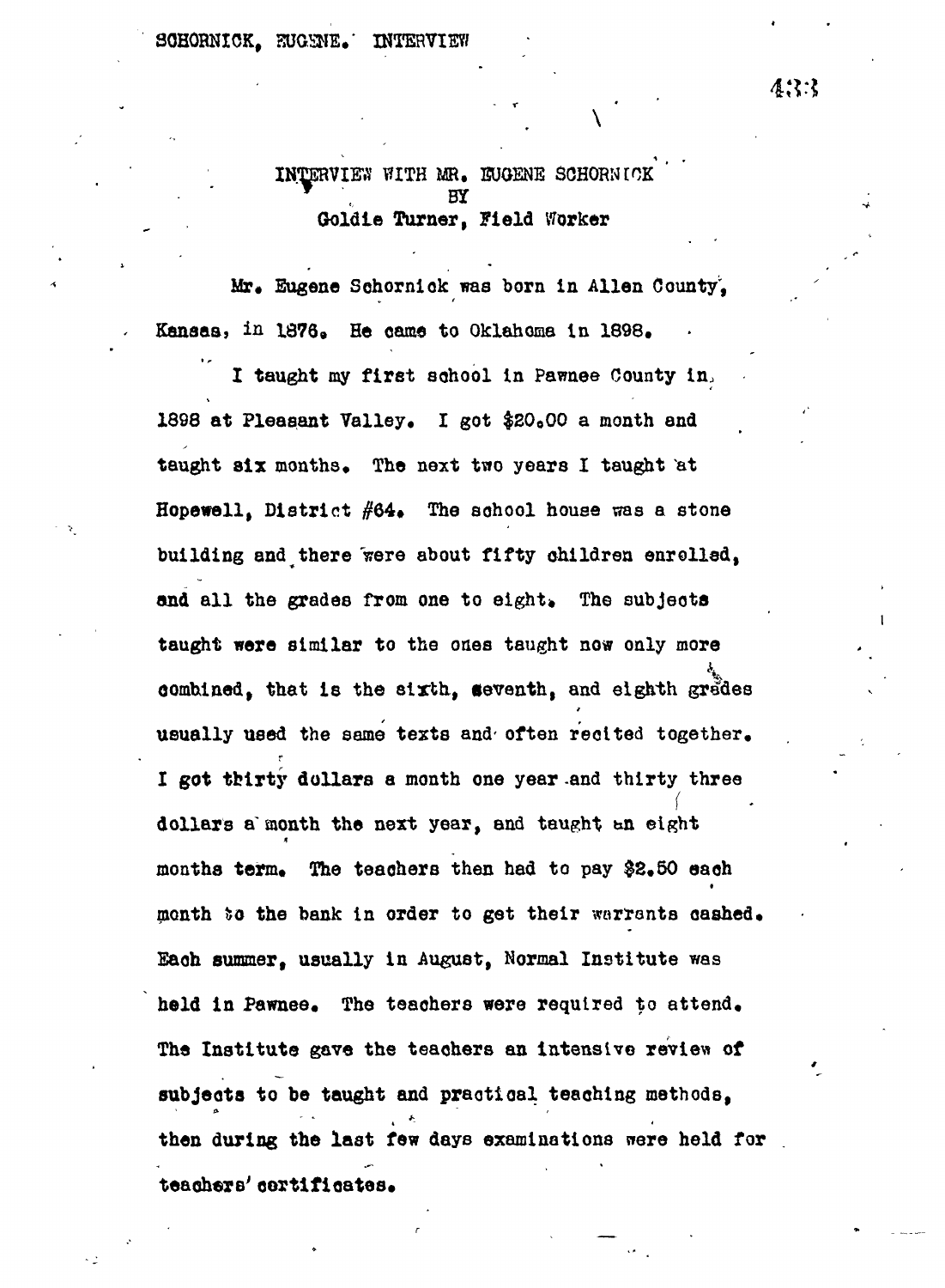**INTERVIEW EITH MR. EUGENE SOHQRNUOK ., BY Goldie Turner, Field Worker**

Mr. Eugene Schornick was born in Allen County'. Kansas, in 1876. He came to Oklahoma in 1898.

**I taught my first school in Pawnee County in.. 1898 at Pleasant Valley. I got \$20000 a month and** taught six months. The next two years I taught at Hopewell, District #64. The school house was a stone **building and there 'were about fifty children enrolled,** and all the grades from one to eight. The subjects **taught were similar to the ones taught now only more combined, that is the sixth, seventh, and eighth grades usually used the same texts and' often recited together. I got tbirty dollars a month one year -and thirty three f dollars a'month the next year, and taught wa eight** months term. The teachers then had to pay \$2.50 each **month t?o the bank in order to get their warrants cashed. Each summer, usually in August, Normal Institute was held in Pawnee. The teachers were required to attend. The Institute gave the teachers an intensive review of subjeoto to be taught and practical teaching methods, then during the last few days examinations nere held for teachers' certificates.**

433